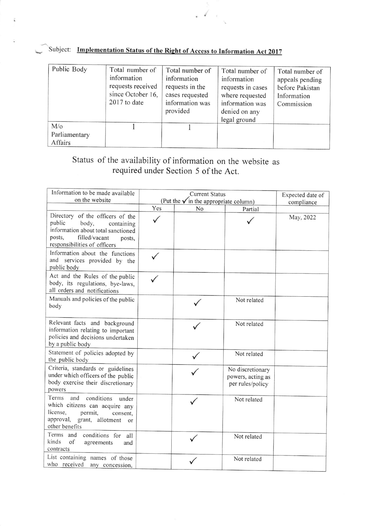| Subject: Implementation Status of the Right of Access to Information Act 2017 |
|-------------------------------------------------------------------------------|
|                                                                               |

Î.

| Public Body                           | Total number of<br>information<br>requests received<br>since October 16,<br>2017 to date | Total number of<br>information<br>requests in the<br>cases requested<br>information was<br>provided | Total number of<br>information<br>requests in cases<br>where requested<br>information was<br>denied on any<br>legal ground | Total number of<br>appeals pending<br>before Pakistan<br>Information<br>Commission |
|---------------------------------------|------------------------------------------------------------------------------------------|-----------------------------------------------------------------------------------------------------|----------------------------------------------------------------------------------------------------------------------------|------------------------------------------------------------------------------------|
| $M/\circ$<br>Parliamentary<br>Affairs |                                                                                          |                                                                                                     |                                                                                                                            |                                                                                    |

 $\mathcal{L} = \mathcal{L}$ 

## Status of the availability of information on the website as required under Section 5 of the Act.

| Information to be made available<br>on the website                                                                                                                           |                                                               | Expected date of |                                                           |            |
|------------------------------------------------------------------------------------------------------------------------------------------------------------------------------|---------------------------------------------------------------|------------------|-----------------------------------------------------------|------------|
|                                                                                                                                                                              | (Put the $\checkmark$ in the appropriate column)<br>Yes<br>No |                  |                                                           | compliance |
| Directory of the officers of the<br>public<br>body,<br>containing<br>information about total sanctioned<br>filled/vacant<br>posts,<br>posts,<br>responsibilities of officers |                                                               |                  | Partial                                                   | May, 2022  |
| Information about the functions<br>and services provided by the<br>public body                                                                                               |                                                               |                  |                                                           |            |
| Act and the Rules of the public<br>body, its regulations, bye-laws,<br>all orders and notifications                                                                          |                                                               |                  |                                                           |            |
| Manuals and policies of the public<br>body                                                                                                                                   |                                                               |                  | Not related                                               |            |
| Relevant facts and background<br>information relating to important<br>policies and decisions undertaken<br>by a public body                                                  |                                                               |                  | Not related                                               |            |
| Statement of policies adopted by<br>the public body                                                                                                                          |                                                               |                  | Not related                                               |            |
| Criteria, standards or guidelines<br>under which officers of the public<br>body exercise their discretionary<br>powers                                                       |                                                               |                  | No discretionary<br>powers, acting as<br>per rules/policy |            |
| Terms<br>conditions<br>and<br>under<br>which citizens can acquire any<br>license,<br>permit,<br>consent,<br>approval, grant, allotment<br>or<br>other benefits               |                                                               |                  | Not related                                               |            |
| Terms and<br>conditions for all<br>kinds<br>of<br>agreements<br>and<br>contracts                                                                                             |                                                               |                  | Not related                                               |            |
| List containing names of those<br>who received<br>any concession,                                                                                                            |                                                               |                  | Not related                                               |            |